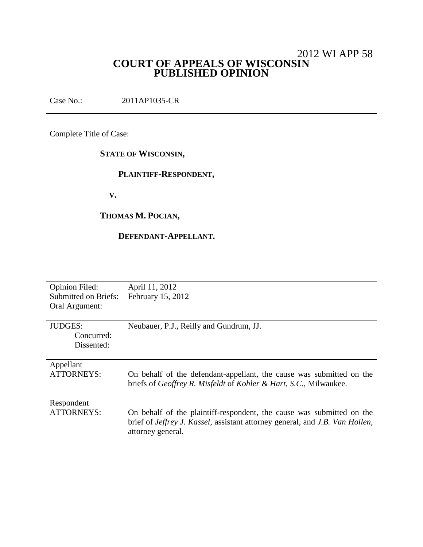# 2012 WI APP 58 **COURT OF APPEALS OF WISCONSIN PUBLISHED OPINION**

Case No.: 2011AP1035-CR

Complete Title of Case:

# **STATE OF WISCONSIN,**

# **PLAINTIFF-RESPONDENT,**

**V.**

# **THOMAS M. POCIAN,**

## **DEFENDANT-APPELLANT.**

| <b>Opinion Filed:</b> | April 11, 2012                                                               |
|-----------------------|------------------------------------------------------------------------------|
| Submitted on Briefs:  | February 15, 2012                                                            |
| Oral Argument:        |                                                                              |
|                       |                                                                              |
| <b>JUDGES:</b>        | Neubauer, P.J., Reilly and Gundrum, JJ.                                      |
| Concurred:            |                                                                              |
| Dissented:            |                                                                              |
|                       |                                                                              |
| Appellant             |                                                                              |
| ATTORNEYS:            | On behalf of the defendant-appellant, the cause was submitted on the         |
|                       | briefs of Geoffrey R. Misfeldt of Kohler & Hart, S.C., Milwaukee.            |
|                       |                                                                              |
| Respondent            |                                                                              |
| <b>ATTORNEYS:</b>     | On behalf of the plaintiff-respondent, the cause was submitted on the        |
|                       | brief of Jeffrey J. Kassel, assistant attorney general, and J.B. Van Hollen, |
|                       | attorney general.                                                            |
|                       |                                                                              |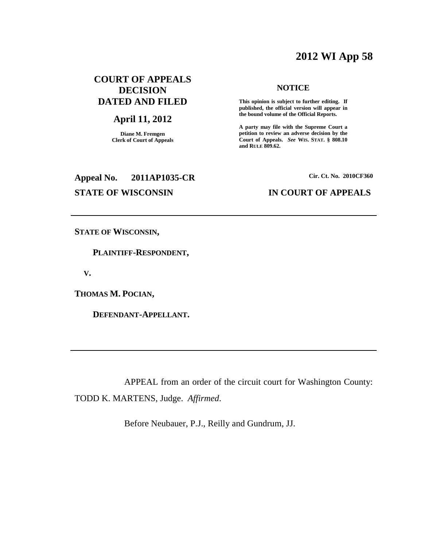# **2012 WI App 58**

# **COURT OF APPEALS DECISION DATED AND FILED**

## **April 11, 2012**

**Diane M. Fremgen Clerk of Court of Appeals**

# **Appeal No. 2011AP1035-CR Cir. Ct. No. 2010CF360**

#### **NOTICE**

**This opinion is subject to further editing. If published, the official version will appear in the bound volume of the Official Reports.**

**A party may file with the Supreme Court a petition to review an adverse decision by the Court of Appeals.** *See* **WIS. STAT. § 808.10 and RULE 809.62.**

## **STATE OF WISCONSIN IN COURT OF APPEALS**

**STATE OF WISCONSIN,**

**PLAINTIFF-RESPONDENT,**

**V.**

**THOMAS M. POCIAN,**

**DEFENDANT-APPELLANT.**

APPEAL from an order of the circuit court for Washington County: TODD K. MARTENS, Judge. *Affirmed*.

Before Neubauer, P.J., Reilly and Gundrum, JJ.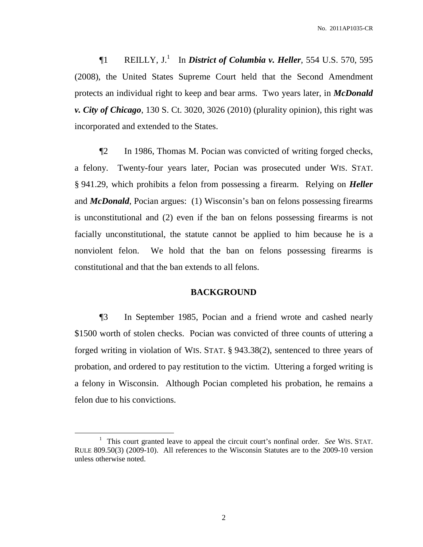¶1 REILLY, J. 1 In *District of Columbia v. Heller*, 554 U.S. 570, 595 (2008), the United States Supreme Court held that the Second Amendment protects an individual right to keep and bear arms. Two years later, in *McDonald v. City of Chicago*, 130 S. Ct. 3020, 3026 (2010) (plurality opinion), this right was incorporated and extended to the States.

¶2 In 1986, Thomas M. Pocian was convicted of writing forged checks, a felony. Twenty-four years later, Pocian was prosecuted under WIS. STAT. § 941.29, which prohibits a felon from possessing a firearm. Relying on *Heller* and *McDonald*, Pocian argues: (1) Wisconsin's ban on felons possessing firearms is unconstitutional and (2) even if the ban on felons possessing firearms is not facially unconstitutional, the statute cannot be applied to him because he is a nonviolent felon. We hold that the ban on felons possessing firearms is constitutional and that the ban extends to all felons.

## **BACKGROUND**

¶3 In September 1985, Pocian and a friend wrote and cashed nearly \$1500 worth of stolen checks. Pocian was convicted of three counts of uttering a forged writing in violation of WIS. STAT. § 943.38(2), sentenced to three years of probation, and ordered to pay restitution to the victim. Uttering a forged writing is a felony in Wisconsin. Although Pocian completed his probation, he remains a felon due to his convictions.

<sup>1</sup> This court granted leave to appeal the circuit court's nonfinal order. *See* WIS. STAT. RULE 809.50(3) (2009-10). All references to the Wisconsin Statutes are to the 2009-10 version unless otherwise noted.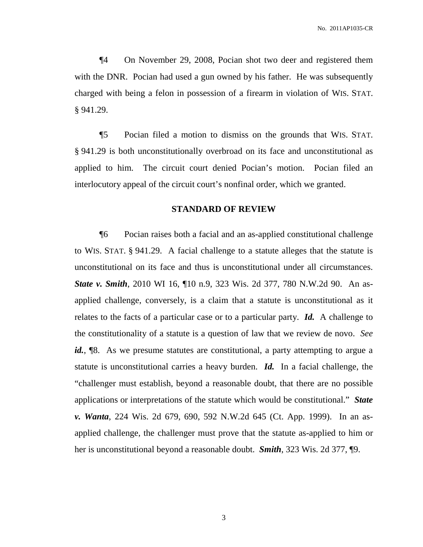¶4 On November 29, 2008, Pocian shot two deer and registered them with the DNR. Pocian had used a gun owned by his father. He was subsequently charged with being a felon in possession of a firearm in violation of WIS. STAT. § 941.29.

¶5 Pocian filed a motion to dismiss on the grounds that WIS. STAT. § 941.29 is both unconstitutionally overbroad on its face and unconstitutional as applied to him. The circuit court denied Pocian's motion. Pocian filed an interlocutory appeal of the circuit court's nonfinal order, which we granted.

### **STANDARD OF REVIEW**

¶6 Pocian raises both a facial and an as-applied constitutional challenge to WIS. STAT. § 941.29. A facial challenge to a statute alleges that the statute is unconstitutional on its face and thus is unconstitutional under all circumstances. *State v. Smith*, 2010 WI 16, ¶10 n.9, 323 Wis. 2d 377, 780 N.W.2d 90. An asapplied challenge, conversely, is a claim that a statute is unconstitutional as it relates to the facts of a particular case or to a particular party. *Id.* A challenge to the constitutionality of a statute is a question of law that we review de novo. *See* id., <sup>[8]</sup>. As we presume statutes are constitutional, a party attempting to argue a statute is unconstitutional carries a heavy burden. *Id.* In a facial challenge, the "challenger must establish, beyond a reasonable doubt, that there are no possible applications or interpretations of the statute which would be constitutional." *State v. Wanta*, 224 Wis. 2d 679, 690, 592 N.W.2d 645 (Ct. App. 1999). In an asapplied challenge, the challenger must prove that the statute as-applied to him or her is unconstitutional beyond a reasonable doubt. *Smith*, 323 Wis. 2d 377, ¶9.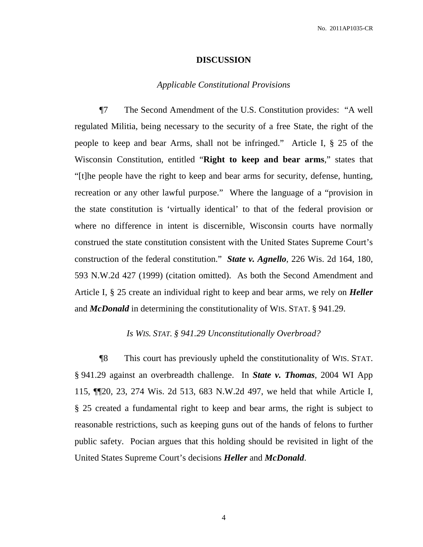#### **DISCUSSION**

## *Applicable Constitutional Provisions*

¶7 The Second Amendment of the U.S. Constitution provides: "A well regulated Militia, being necessary to the security of a free State, the right of the people to keep and bear Arms, shall not be infringed." Article I, § 25 of the Wisconsin Constitution, entitled "**Right to keep and bear arms**," states that "[t]he people have the right to keep and bear arms for security, defense, hunting, recreation or any other lawful purpose." Where the language of a "provision in the state constitution is 'virtually identical' to that of the federal provision or where no difference in intent is discernible, Wisconsin courts have normally construed the state constitution consistent with the United States Supreme Court's construction of the federal constitution." *State v. Agnello*, 226 Wis. 2d 164, 180, 593 N.W.2d 427 (1999) (citation omitted). As both the Second Amendment and Article I, § 25 create an individual right to keep and bear arms, we rely on *Heller* and *McDonald* in determining the constitutionality of WIS. STAT. § 941.29.

#### *Is WIS. STAT. § 941.29 Unconstitutionally Overbroad?*

¶8 This court has previously upheld the constitutionality of WIS. STAT. § 941.29 against an overbreadth challenge. In *State v. Thomas*, 2004 WI App 115, ¶¶20, 23, 274 Wis. 2d 513, 683 N.W.2d 497, we held that while Article I, § 25 created a fundamental right to keep and bear arms, the right is subject to reasonable restrictions, such as keeping guns out of the hands of felons to further public safety. Pocian argues that this holding should be revisited in light of the United States Supreme Court's decisions *Heller* and *McDonald*.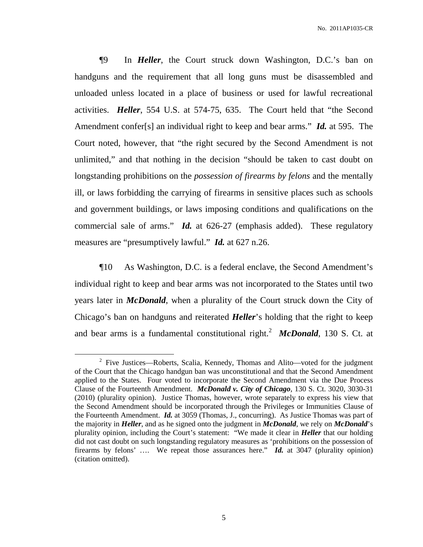¶9 In *Heller*, the Court struck down Washington, D.C.'s ban on handguns and the requirement that all long guns must be disassembled and unloaded unless located in a place of business or used for lawful recreational activities. *Heller*, 554 U.S. at 574-75, 635. The Court held that "the Second Amendment confer[s] an individual right to keep and bear arms." *Id.* at 595. The Court noted, however, that "the right secured by the Second Amendment is not unlimited," and that nothing in the decision "should be taken to cast doubt on longstanding prohibitions on the *possession of firearms by felons* and the mentally ill, or laws forbidding the carrying of firearms in sensitive places such as schools and government buildings, or laws imposing conditions and qualifications on the commercial sale of arms." *Id.* at 626-27 (emphasis added). These regulatory measures are "presumptively lawful." *Id.* at 627 n.26.

¶10 As Washington, D.C. is a federal enclave, the Second Amendment's individual right to keep and bear arms was not incorporated to the States until two years later in *McDonald*, when a plurality of the Court struck down the City of Chicago's ban on handguns and reiterated *Heller*'s holding that the right to keep and bear arms is a fundamental constitutional right. <sup>2</sup> *McDonald*, 130 S. Ct. at

 $2$  Five Justices—Roberts, Scalia, Kennedy, Thomas and Alito—voted for the judgment of the Court that the Chicago handgun ban was unconstitutional and that the Second Amendment applied to the States. Four voted to incorporate the Second Amendment via the Due Process Clause of the Fourteenth Amendment. *McDonald v. City of Chicago*, 130 S. Ct. 3020, 3030-31 (2010) (plurality opinion). Justice Thomas, however, wrote separately to express his view that the Second Amendment should be incorporated through the Privileges or Immunities Clause of the Fourteenth Amendment. *Id.* at 3059 (Thomas, J., concurring). As Justice Thomas was part of the majority in *Heller*, and as he signed onto the judgment in *McDonald*, we rely on *McDonald*'s plurality opinion, including the Court's statement: "We made it clear in *Heller* that our holding did not cast doubt on such longstanding regulatory measures as 'prohibitions on the possession of firearms by felons' …. We repeat those assurances here." *Id.* at 3047 (plurality opinion) (citation omitted).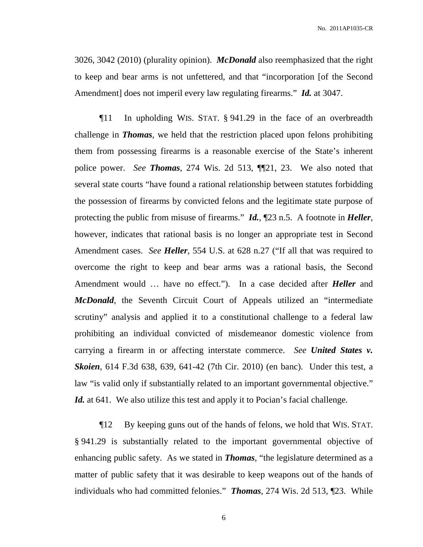No. 2011AP1035-CR

3026, 3042 (2010) (plurality opinion). *McDonald* also reemphasized that the right to keep and bear arms is not unfettered, and that "incorporation [of the Second Amendment] does not imperil every law regulating firearms." *Id.* at 3047.

¶11 In upholding WIS. STAT. § 941.29 in the face of an overbreadth challenge in *Thomas*, we held that the restriction placed upon felons prohibiting them from possessing firearms is a reasonable exercise of the State's inherent police power. *See Thomas*, 274 Wis. 2d 513, ¶¶21, 23. We also noted that several state courts "have found a rational relationship between statutes forbidding the possession of firearms by convicted felons and the legitimate state purpose of protecting the public from misuse of firearms." *Id.*, ¶23 n.5. A footnote in *Heller*, however, indicates that rational basis is no longer an appropriate test in Second Amendment cases. *See Heller*, 554 U.S. at 628 n.27 ("If all that was required to overcome the right to keep and bear arms was a rational basis, the Second Amendment would … have no effect."). In a case decided after *Heller* and *McDonald*, the Seventh Circuit Court of Appeals utilized an "intermediate" scrutiny" analysis and applied it to a constitutional challenge to a federal law prohibiting an individual convicted of misdemeanor domestic violence from carrying a firearm in or affecting interstate commerce. *See United States v. Skoien*, 614 F.3d 638, 639, 641-42 (7th Cir. 2010) (en banc). Under this test, a law "is valid only if substantially related to an important governmental objective." *Id.* at 641. We also utilize this test and apply it to Pocian's facial challenge.

¶12 By keeping guns out of the hands of felons, we hold that WIS. STAT. § 941.29 is substantially related to the important governmental objective of enhancing public safety. As we stated in *Thomas*, "the legislature determined as a matter of public safety that it was desirable to keep weapons out of the hands of individuals who had committed felonies." *Thomas*, 274 Wis. 2d 513, ¶23. While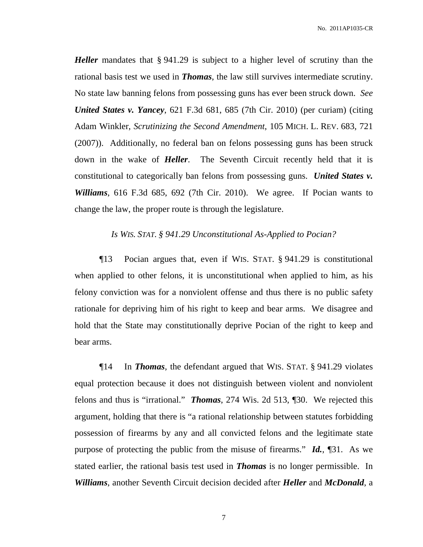No. 2011AP1035-CR

*Heller* mandates that § 941.29 is subject to a higher level of scrutiny than the rational basis test we used in *Thomas*, the law still survives intermediate scrutiny. No state law banning felons from possessing guns has ever been struck down. *See United States v. Yancey*, 621 F.3d 681, 685 (7th Cir. 2010) (per curiam) (citing Adam Winkler, *Scrutinizing the Second Amendment*, 105 MICH. L. REV. 683, 721 (2007)). Additionally, no federal ban on felons possessing guns has been struck down in the wake of *Heller*. The Seventh Circuit recently held that it is constitutional to categorically ban felons from possessing guns. *United States v. Williams*, 616 F.3d 685, 692 (7th Cir. 2010). We agree. If Pocian wants to change the law, the proper route is through the legislature.

## *Is WIS. STAT. § 941.29 Unconstitutional As-Applied to Pocian?*

¶13 Pocian argues that, even if WIS. STAT. § 941.29 is constitutional when applied to other felons, it is unconstitutional when applied to him, as his felony conviction was for a nonviolent offense and thus there is no public safety rationale for depriving him of his right to keep and bear arms. We disagree and hold that the State may constitutionally deprive Pocian of the right to keep and bear arms.

¶14 In *Thomas*, the defendant argued that WIS. STAT. § 941.29 violates equal protection because it does not distinguish between violent and nonviolent felons and thus is "irrational." *Thomas*, 274 Wis. 2d 513, ¶30. We rejected this argument, holding that there is "a rational relationship between statutes forbidding possession of firearms by any and all convicted felons and the legitimate state purpose of protecting the public from the misuse of firearms." *Id.*, ¶31. As we stated earlier, the rational basis test used in *Thomas* is no longer permissible. In *Williams*, another Seventh Circuit decision decided after *Heller* and *McDonald*, a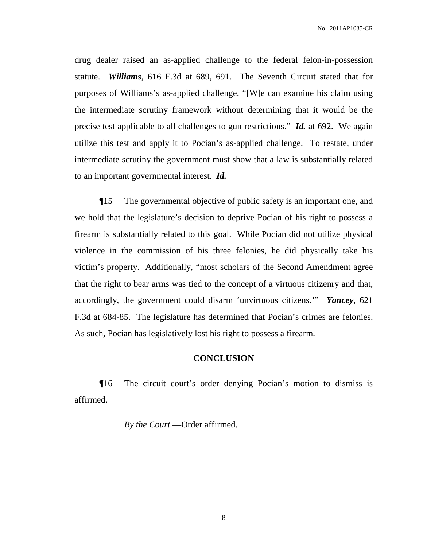No. 2011AP1035-CR

drug dealer raised an as-applied challenge to the federal felon-in-possession statute. *Williams*, 616 F.3d at 689, 691. The Seventh Circuit stated that for purposes of Williams's as-applied challenge, "[W]e can examine his claim using the intermediate scrutiny framework without determining that it would be the precise test applicable to all challenges to gun restrictions." *Id.* at 692. We again utilize this test and apply it to Pocian's as-applied challenge. To restate, under intermediate scrutiny the government must show that a law is substantially related to an important governmental interest. *Id.*

¶15 The governmental objective of public safety is an important one, and we hold that the legislature's decision to deprive Pocian of his right to possess a firearm is substantially related to this goal. While Pocian did not utilize physical violence in the commission of his three felonies, he did physically take his victim's property. Additionally, "most scholars of the Second Amendment agree that the right to bear arms was tied to the concept of a virtuous citizenry and that, accordingly, the government could disarm 'unvirtuous citizens.'" *Yancey*, 621 F.3d at 684-85. The legislature has determined that Pocian's crimes are felonies. As such, Pocian has legislatively lost his right to possess a firearm.

## **CONCLUSION**

¶16 The circuit court's order denying Pocian's motion to dismiss is affirmed.

*By the Court.*—Order affirmed.